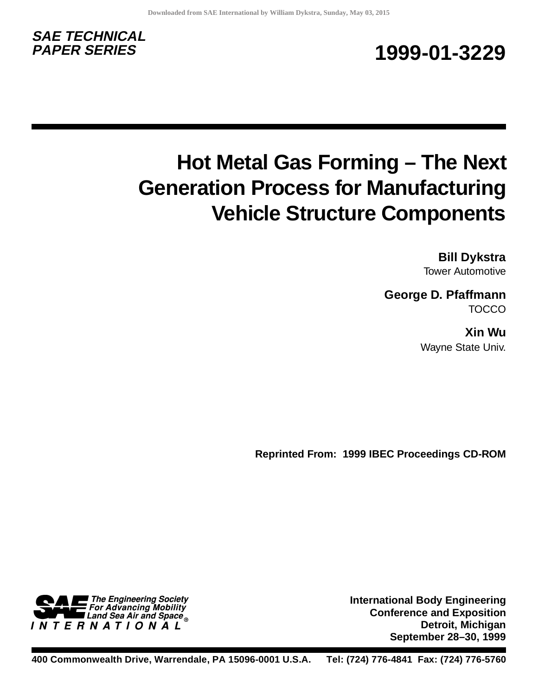

# **PAPER SERIES 1999-01-3229**

# **Hot Metal Gas Forming – The Next Generation Process for Manufacturing Vehicle Structure Components**

**Bill Dykstra** Tower Automotive

**George D. Pfaffmann TOCCO** 

> **Xin Wu** Wayne State Univ.

**Reprinted From: 1999 IBEC Proceedings CD-ROM**

The Engineering Society<br>
For Advancing Mobility<br>
Land Sea Air and Space T E R N A T I O N A L

**International Body Engineering Conference and Exposition Detroit, Michigan September 28–30, 1999**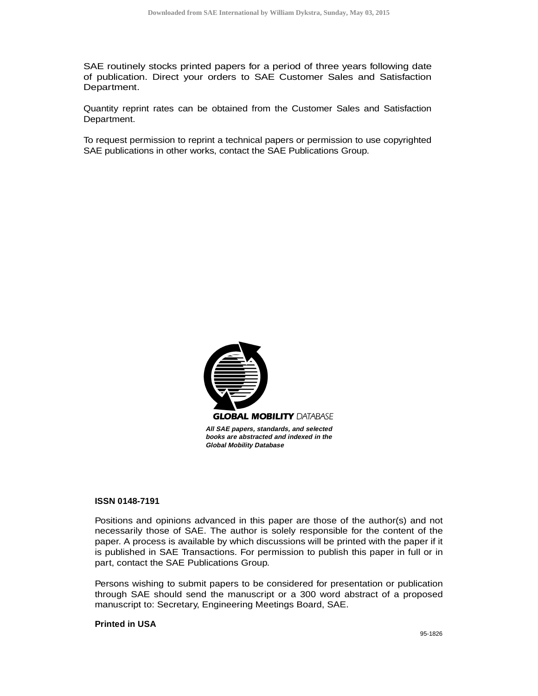SAE routinely stocks printed papers for a period of three years following date of publication. Direct your orders to SAE Customer Sales and Satisfaction Department.

Quantity reprint rates can be obtained from the Customer Sales and Satisfaction Department.

To request permission to reprint a technical papers or permission to use copyrighted SAE publications in other works, contact the SAE Publications Group.



**books are abstracted and indexed in the Global Mobility Database**

#### **ISSN 0148-7191**

Positions and opinions advanced in this paper are those of the author(s) and not necessarily those of SAE. The author is solely responsible for the content of the paper. A process is available by which discussions will be printed with the paper if it is published in SAE Transactions. For permission to publish this paper in full or in part, contact the SAE Publications Group.

Persons wishing to submit papers to be considered for presentation or publication through SAE should send the manuscript or a 300 word abstract of a proposed manuscript to: Secretary, Engineering Meetings Board, SAE.

#### **Printed in USA**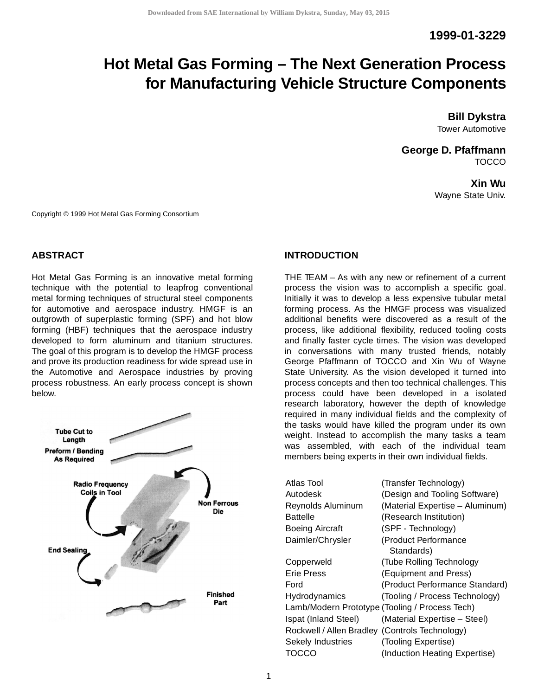**1999-01-3229**

## **Hot Metal Gas Forming – The Next Generation Process for Manufacturing Vehicle Structure Components**

**Bill Dykstra** Tower Automotive

**George D. Pfaffmann** TOCCO

> **Xin Wu** Wayne State Univ.

Copyright © 1999 Hot Metal Gas Forming Consortium

#### **ABSTRACT**

Hot Metal Gas Forming is an innovative metal forming technique with the potential to leapfrog conventional metal forming techniques of structural steel components for automotive and aerospace industry. HMGF is an outgrowth of superplastic forming (SPF) and hot blow forming (HBF) techniques that the aerospace industry developed to form aluminum and titanium structures. The goal of this program is to develop the HMGF process and prove its production readiness for wide spread use in the Automotive and Aerospace industries by proving process robustness. An early process concept is shown below.



#### **INTRODUCTION**

THE TEAM – As with any new or refinement of a current process the vision was to accomplish a specific goal. Initially it was to develop a less expensive tubular metal forming process. As the HMGF process was visualized additional benefits were discovered as a result of the process, like additional flexibility, reduced tooling costs and finally faster cycle times. The vision was developed in conversations with many trusted friends, notably George Pfaffmann of TOCCO and Xin Wu of Wayne State University. As the vision developed it turned into process concepts and then too technical challenges. This process could have been developed in a isolated research laboratory, however the depth of knowledge required in many individual fields and the complexity of the tasks would have killed the program under its own weight. Instead to accomplish the many tasks a team was assembled, with each of the individual team members being experts in their own individual fields.

| Atlas Tool                                     | (Transfer Technology)                          |
|------------------------------------------------|------------------------------------------------|
| Autodesk                                       | (Design and Tooling Software)                  |
| Reynolds Aluminum                              | (Material Expertise - Aluminum)                |
| Battelle                                       | (Research Institution)                         |
| <b>Boeing Aircraft</b>                         | (SPF - Technology)                             |
| Daimler/Chrysler                               | (Product Performance                           |
|                                                | Standards)                                     |
| Copperweld                                     | (Tube Rolling Technology                       |
| Erie Press                                     | (Equipment and Press)                          |
| Ford                                           | (Product Performance Standard)                 |
| Hydrodynamics                                  | (Tooling / Process Technology)                 |
|                                                | Lamb/Modern Prototype (Tooling / Process Tech) |
| Ispat (Inland Steel)                           | (Material Expertise - Steel)                   |
| Rockwell / Allen Bradley (Controls Technology) |                                                |
| Sekely Industries                              | (Tooling Expertise)                            |
| TOCCO                                          | (Induction Heating Expertise)                  |
|                                                |                                                |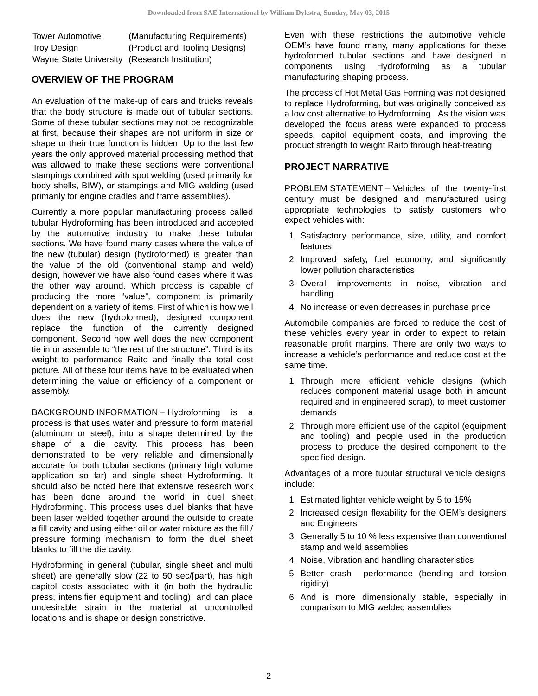| <b>Tower Automotive</b>                       | (Manufacturing Requirements)  |
|-----------------------------------------------|-------------------------------|
| Troy Design                                   | (Product and Tooling Designs) |
| Wayne State University (Research Institution) |                               |

### **OVERVIEW OF THE PROGRAM**

An evaluation of the make-up of cars and trucks reveals that the body structure is made out of tubular sections. Some of these tubular sections may not be recognizable at first, because their shapes are not uniform in size or shape or their true function is hidden. Up to the last few years the only approved material processing method that was allowed to make these sections were conventional stampings combined with spot welding (used primarily for body shells, BIW), or stampings and MIG welding (used primarily for engine cradles and frame assemblies).

Currently a more popular manufacturing process called tubular Hydroforming has been introduced and accepted by the automotive industry to make these tubular sections. We have found many cases where the value of the new (tubular) design (hydroformed) is greater than the value of the old (conventional stamp and weld) design, however we have also found cases where it was the other way around. Which process is capable of producing the more "value", component is primarily dependent on a variety of items. First of which is how well does the new (hydroformed), designed component replace the function of the currently designed component. Second how well does the new component tie in or assemble to "the rest of the structure". Third is its weight to performance Raito and finally the total cost picture. All of these four items have to be evaluated when determining the value or efficiency of a component or assembly.

BACKGROUND INFORMATION – Hydroforming is a process is that uses water and pressure to form material (aluminum or steel), into a shape determined by the shape of a die cavity. This process has been demonstrated to be very reliable and dimensionally accurate for both tubular sections (primary high volume application so far) and single sheet Hydroforming. It should also be noted here that extensive research work has been done around the world in duel sheet Hydroforming. This process uses duel blanks that have been laser welded together around the outside to create a fill cavity and using either oil or water mixture as the fill / pressure forming mechanism to form the duel sheet blanks to fill the die cavity.

Hydroforming in general (tubular, single sheet and multi sheet) are generally slow (22 to 50 sec/[part), has high capitol costs associated with it (in both the hydraulic press, intensifier equipment and tooling), and can place undesirable strain in the material at uncontrolled locations and is shape or design constrictive.

Even with these restrictions the automotive vehicle OEM's have found many, many applications for these hydroformed tubular sections and have designed in components using Hydroforming as a tubular manufacturing shaping process.

The process of Hot Metal Gas Forming was not designed to replace Hydroforming, but was originally conceived as a low cost alternative to Hydroforming. As the vision was developed the focus areas were expanded to process speeds, capitol equipment costs, and improving the product strength to weight Raito through heat-treating.

### **PROJECT NARRATIVE**

PROBLEM STATEMENT – Vehicles of the twenty-first century must be designed and manufactured using appropriate technologies to satisfy customers who expect vehicles with:

- 1. Satisfactory performance, size, utility, and comfort features
- 2. Improved safety, fuel economy, and significantly lower pollution characteristics
- 3. Overall improvements in noise, vibration and handling.
- 4. No increase or even decreases in purchase price

Automobile companies are forced to reduce the cost of these vehicles every year in order to expect to retain reasonable profit margins. There are only two ways to increase a vehicle's performance and reduce cost at the same time.

- 1. Through more efficient vehicle designs (which reduces component material usage both in amount required and in engineered scrap), to meet customer demands
- 2. Through more efficient use of the capitol (equipment and tooling) and people used in the production process to produce the desired component to the specified design.

Advantages of a more tubular structural vehicle designs include:

- 1. Estimated lighter vehicle weight by 5 to 15%
- 2. Increased design flexability for the OEM's designers and Engineers
- 3. Generally 5 to 10 % less expensive than conventional stamp and weld assemblies
- 4. Noise, Vibration and handling characteristics
- 5. Better crash performance (bending and torsion rigidity)
- 6. And is more dimensionally stable, especially in comparison to MIG welded assemblies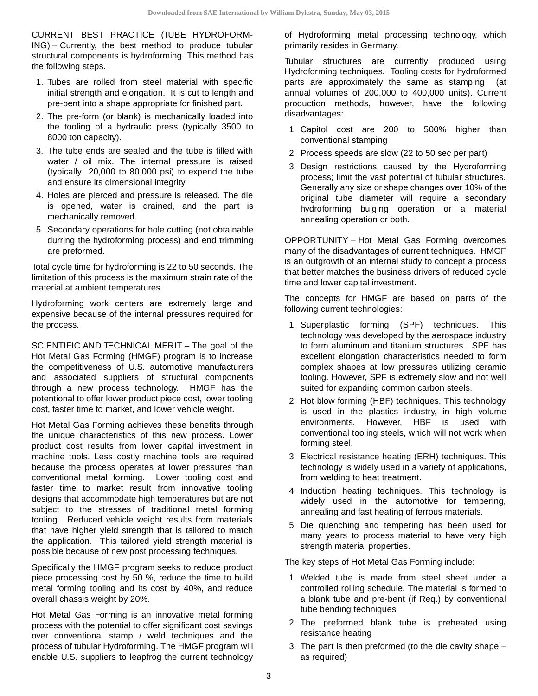CURRENT BEST PRACTICE (TUBE HYDROFORM-ING) – Currently, the best method to produce tubular structural components is hydroforming. This method has the following steps.

- 1. Tubes are rolled from steel material with specific initial strength and elongation. It is cut to length and pre-bent into a shape appropriate for finished part.
- 2. The pre-form (or blank) is mechanically loaded into the tooling of a hydraulic press (typically 3500 to 8000 ton capacity).
- 3. The tube ends are sealed and the tube is filled with water / oil mix. The internal pressure is raised (typically 20,000 to 80,000 psi) to expend the tube and ensure its dimensional integrity
- 4. Holes are pierced and pressure is released. The die is opened, water is drained, and the part is mechanically removed.
- 5. Secondary operations for hole cutting (not obtainable durring the hydroforming process) and end trimming are preformed.

Total cycle time for hydroforming is 22 to 50 seconds. The limitation of this process is the maximum strain rate of the material at ambient temperatures

Hydroforming work centers are extremely large and expensive because of the internal pressures required for the process.

SCIENTIFIC AND TECHNICAL MERIT – The goal of the Hot Metal Gas Forming (HMGF) program is to increase the competitiveness of U.S. automotive manufacturers and associated suppliers of structural components through a new process technology. HMGF has the potentional to offer lower product piece cost, lower tooling cost, faster time to market, and lower vehicle weight.

Hot Metal Gas Forming achieves these benefits through the unique characteristics of this new process. Lower product cost results from lower capital investment in machine tools. Less costly machine tools are required because the process operates at lower pressures than conventional metal forming. Lower tooling cost and faster time to market result from innovative tooling designs that accommodate high temperatures but are not subject to the stresses of traditional metal forming tooling. Reduced vehicle weight results from materials that have higher yield strength that is tailored to match the application. This tailored yield strength material is possible because of new post processing techniques.

Specifically the HMGF program seeks to reduce product piece processing cost by 50 %, reduce the time to build metal forming tooling and its cost by 40%, and reduce overall chassis weight by 20%.

Hot Metal Gas Forming is an innovative metal forming process with the potential to offer significant cost savings over conventional stamp / weld techniques and the process of tubular Hydroforming. The HMGF program will enable U.S. suppliers to leapfrog the current technology of Hydroforming metal processing technology, which primarily resides in Germany.

Tubular structures are currently produced using Hydroforming techniques. Tooling costs for hydroformed parts are approximately the same as stamping (at annual volumes of 200,000 to 400,000 units). Current production methods, however, have the following disadvantages:

- 1. Capitol cost are 200 to 500% higher than conventional stamping
- 2. Process speeds are slow (22 to 50 sec per part)
- 3. Design restrictions caused by the Hydroforming process; limit the vast potential of tubular structures. Generally any size or shape changes over 10% of the original tube diameter will require a secondary hydroforming bulging operation or a material annealing operation or both.

OPPORTUNITY – Hot Metal Gas Forming overcomes many of the disadvantages of current techniques. HMGF is an outgrowth of an internal study to concept a process that better matches the business drivers of reduced cycle time and lower capital investment.

The concepts for HMGF are based on parts of the following current technologies:

- 1. Superplastic forming (SPF) techniques. This technology was developed by the aerospace industry to form aluminum and titanium structures. SPF has excellent elongation characteristics needed to form complex shapes at low pressures utilizing ceramic tooling. However, SPF is extremely slow and not well suited for expanding common carbon steels.
- 2. Hot blow forming (HBF) techniques. This technology is used in the plastics industry, in high volume environments. However, HBF is used with conventional tooling steels, which will not work when forming steel.
- 3. Electrical resistance heating (ERH) techniques. This technology is widely used in a variety of applications, from welding to heat treatment.
- 4. Induction heating techniques. This technology is widely used in the automotive for tempering, annealing and fast heating of ferrous materials.
- 5. Die quenching and tempering has been used for many years to process material to have very high strength material properties.

The key steps of Hot Metal Gas Forming include:

- 1. Welded tube is made from steel sheet under a controlled rolling schedule. The material is formed to a blank tube and pre-bent (if Req.) by conventional tube bending techniques
- 2. The preformed blank tube is preheated using resistance heating
- 3. The part is then preformed (to the die cavity shape as required)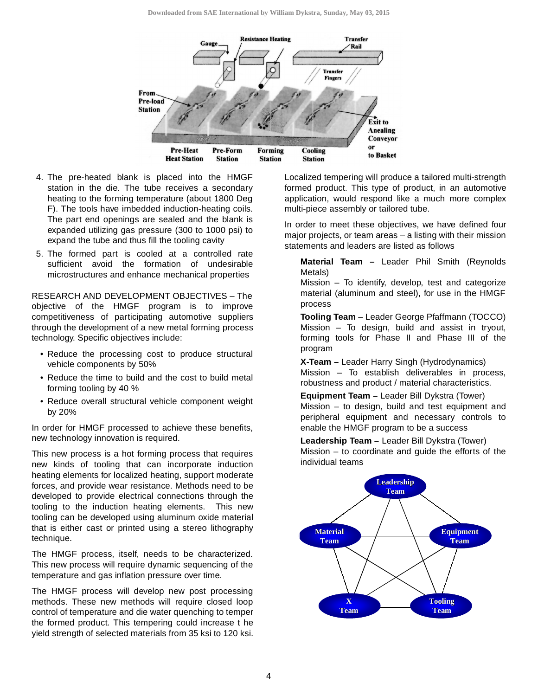

- 4. The pre-heated blank is placed into the HMGF station in the die. The tube receives a secondary heating to the forming temperature (about 1800 Deg F). The tools have imbedded induction-heating coils. The part end openings are sealed and the blank is expanded utilizing gas pressure (300 to 1000 psi) to expand the tube and thus fill the tooling cavity
- 5. The formed part is cooled at a controlled rate sufficient avoid the formation of undesirable microstructures and enhance mechanical properties

RESEARCH AND DEVELOPMENT OBJECTIVES – The objective of the HMGF program is to improve competitiveness of participating automotive suppliers through the development of a new metal forming process technology. Specific objectives include:

- Reduce the processing cost to produce structural vehicle components by 50%
- Reduce the time to build and the cost to build metal forming tooling by 40 %
- Reduce overall structural vehicle component weight by 20%

In order for HMGF processed to achieve these benefits, new technology innovation is required.

This new process is a hot forming process that requires new kinds of tooling that can incorporate induction heating elements for localized heating, support moderate forces, and provide wear resistance. Methods need to be developed to provide electrical connections through the tooling to the induction heating elements. This new tooling can be developed using aluminum oxide material that is either cast or printed using a stereo lithography technique.

The HMGF process, itself, needs to be characterized. This new process will require dynamic sequencing of the temperature and gas inflation pressure over time.

The HMGF process will develop new post processing methods. These new methods will require closed loop control of temperature and die water quenching to temper the formed product. This tempering could increase t he yield strength of selected materials from 35 ksi to 120 ksi.

Localized tempering will produce a tailored multi-strength formed product. This type of product, in an automotive application, would respond like a much more complex multi-piece assembly or tailored tube.

In order to meet these objectives, we have defined four major projects, or team areas – a listing with their mission statements and leaders are listed as follows

**Material Team –** Leader Phil Smith (Reynolds Metals)

Mission – To identify, develop, test and categorize material (aluminum and steel), for use in the HMGF process

**Tooling Team** – Leader George Pfaffmann (TOCCO) Mission – To design, build and assist in tryout, forming tools for Phase II and Phase III of the program

**X-Team –** Leader Harry Singh (Hydrodynamics) Mission – To establish deliverables in process, robustness and product / material characteristics.

**Equipment Team –** Leader Bill Dykstra (Tower) Mission – to design, build and test equipment and peripheral equipment and necessary controls to enable the HMGF program to be a success

**Leadership Team –** Leader Bill Dykstra (Tower) Mission  $-$  to coordinate and guide the efforts of the individual teams

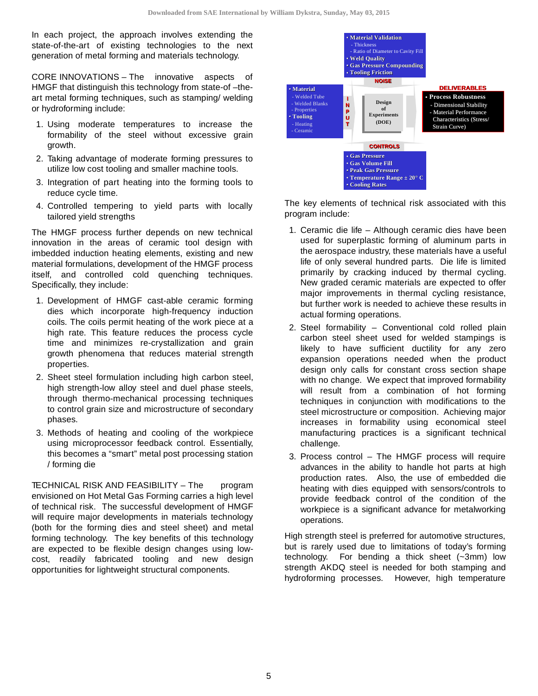In each project, the approach involves extending the state-of-the-art of existing technologies to the next generation of metal forming and materials technology.

CORE INNOVATIONS – The innovative aspects of HMGF that distinguish this technology from state-of -theart metal forming techniques, such as stamping/ welding or hydroforming include:

- 1. Using moderate temperatures to increase the formability of the steel without excessive grain growth.
- 2. Taking advantage of moderate forming pressures to utilize low cost tooling and smaller machine tools.
- 3. Integration of part heating into the forming tools to reduce cycle time.
- 4. Controlled tempering to yield parts with locally tailored yield strengths

The HMGF process further depends on new technical innovation in the areas of ceramic tool design with imbedded induction heating elements, existing and new material formulations, development of the HMGF process itself, and controlled cold quenching techniques. Specifically, they include:

- 1. Development of HMGF cast-able ceramic forming dies which incorporate high-frequency induction coils. The coils permit heating of the work piece at a high rate. This feature reduces the process cycle time and minimizes re-crystallization and grain growth phenomena that reduces material strength properties.
- 2. Sheet steel formulation including high carbon steel, high strength-low alloy steel and duel phase steels, through thermo-mechanical processing techniques to control grain size and microstructure of secondary phases.
- 3. Methods of heating and cooling of the workpiece using microprocessor feedback control. Essentially, this becomes a "smart" metal post processing station / forming die

TECHNICAL RISK AND FEASIBILITY - The program envisioned on Hot Metal Gas Forming carries a high level of technical risk. The successful development of HMGF will require major developments in materials technology (both for the forming dies and steel sheet) and metal forming technology. The key benefits of this technology are expected to be flexible design changes using lowcost, readily fabricated tooling and new design opportunities for lightweight structural components.



The key elements of technical risk associated with this program include:

- 1. Ceramic die life Although ceramic dies have been used for superplastic forming of aluminum parts in the aerospace industry, these materials have a useful life of only several hundred parts. Die life is limited primarily by cracking induced by thermal cycling. New graded ceramic materials are expected to offer major improvements in thermal cycling resistance, but further work is needed to achieve these results in actual forming operations.
- 2. Steel formability Conventional cold rolled plain carbon steel sheet used for welded stampings is likely to have sufficient ductility for any zero expansion operations needed when the product design only calls for constant cross section shape with no change. We expect that improved formability will result from a combination of hot forming techniques in conjunction with modifications to the steel microstructure or composition. Achieving major increases in formability using economical steel manufacturing practices is a significant technical challenge.
- 3. Process control The HMGF process will require advances in the ability to handle hot parts at high production rates. Also, the use of embedded die heating with dies equipped with sensors/controls to provide feedback control of the condition of the workpiece is a significant advance for metalworking operations.

High strength steel is preferred for automotive structures, but is rarely used due to limitations of today's forming technology. For bending a thick sheet (~3mm) low strength AKDQ steel is needed for both stamping and hydroforming processes. However, high temperature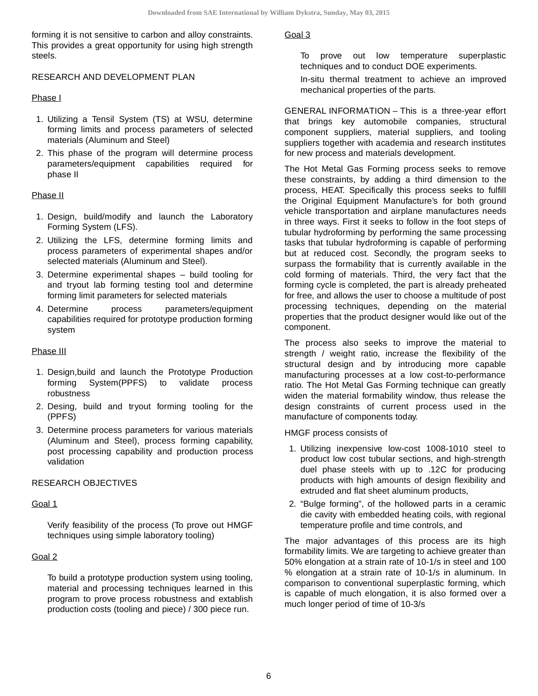forming it is not sensitive to carbon and alloy constraints. This provides a great opportunity for using high strength steels.

#### RESEARCH AND DEVELOPMENT PLAN

#### Phase I

- 1. Utilizing a Tensil System (TS) at WSU, determine forming limits and process parameters of selected materials (Aluminum and Steel)
- 2. This phase of the program will determine process parameters/equipment capabilities required for phase II

#### Phase II

- 1. Design, build/modify and launch the Laboratory Forming System (LFS).
- 2. Utilizing the LFS, determine forming limits and process parameters of experimental shapes and/or selected materials (Aluminum and Steel).
- 3. Determine experimental shapes build tooling for and tryout lab forming testing tool and determine forming limit parameters for selected materials
- 4. Determine process parameters/equipment capabilities required for prototype production forming system

#### Phase III

- 1. Design,build and launch the Prototype Production forming System(PPFS) to validate process robustness
- 2. Desing, build and tryout forming tooling for the (PPFS)
- 3. Determine process parameters for various materials (Aluminum and Steel), process forming capability, post processing capability and production process validation

#### RESEARCH OBJECTIVES

#### Goal 1

Verify feasibility of the process (To prove out HMGF techniques using simple laboratory tooling)

#### Goal 2

To build a prototype production system using tooling, material and processing techniques learned in this program to prove process robustness and extablish production costs (tooling and piece) / 300 piece run.

#### Goal 3

To prove out low temperature superplastic techniques and to conduct DOE experiments.

In-situ thermal treatment to achieve an improved mechanical properties of the parts.

GENERAL INFORMATION – This is a three-year effort that brings key automobile companies, structural component suppliers, material suppliers, and tooling suppliers together with academia and research institutes for new process and materials development.

The Hot Metal Gas Forming process seeks to remove these constraints, by adding a third dimension to the process, HEAT. Specifically this process seeks to fulfill the Original Equipment Manufacture's for both ground vehicle transportation and airplane manufactures needs in three ways. First it seeks to follow in the foot steps of tubular hydroforming by performing the same processing tasks that tubular hydroforming is capable of performing but at reduced cost. Secondly, the program seeks to surpass the formability that is currently available in the cold forming of materials. Third, the very fact that the forming cycle is completed, the part is already preheated for free, and allows the user to choose a multitude of post processing techniques, depending on the material properties that the product designer would like out of the component.

The process also seeks to improve the material to strength / weight ratio, increase the flexibility of the structural design and by introducing more capable manufacturing processes at a low cost-to-performance ratio. The Hot Metal Gas Forming technique can greatly widen the material formability window, thus release the design constraints of current process used in the manufacture of components today.

HMGF process consists of

- 1. Utilizing inexpensive low-cost 1008-1010 steel to product low cost tubular sections, and high-strength duel phase steels with up to .12C for producing products with high amounts of design flexibility and extruded and flat sheet aluminum products,
- 2. "Bulge forming", of the hollowed parts in a ceramic die cavity with embedded heating coils, with regional temperature profile and time controls, and

The major advantages of this process are its high formability limits. We are targeting to achieve greater than 50% elongation at a strain rate of 10-1/s in steel and 100 % elongation at a strain rate of 10-1/s in aluminum. In comparison to conventional superplastic forming, which is capable of much elongation, it is also formed over a much longer period of time of 10-3/s